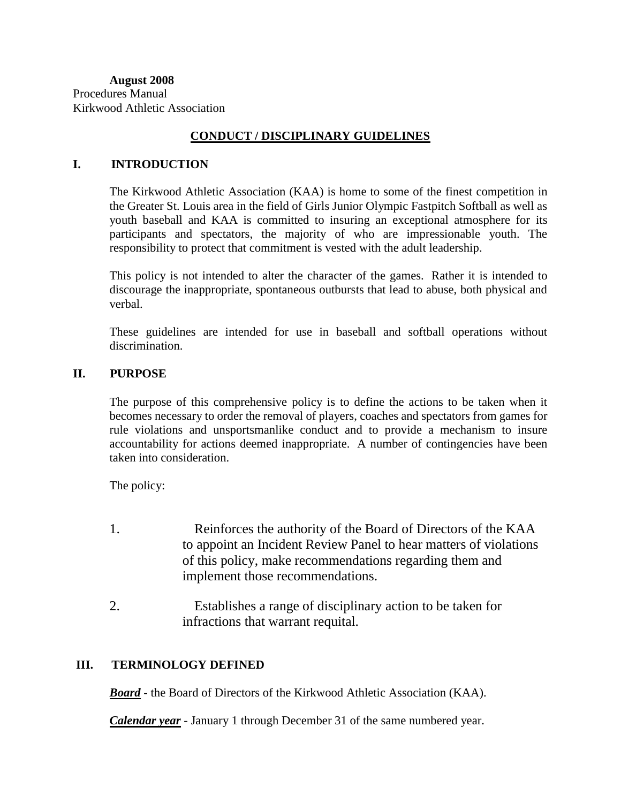## **CONDUCT / DISCIPLINARY GUIDELINES**

#### **I. INTRODUCTION**

The Kirkwood Athletic Association (KAA) is home to some of the finest competition in the Greater St. Louis area in the field of Girls Junior Olympic Fastpitch Softball as well as youth baseball and KAA is committed to insuring an exceptional atmosphere for its participants and spectators, the majority of who are impressionable youth. The responsibility to protect that commitment is vested with the adult leadership.

This policy is not intended to alter the character of the games. Rather it is intended to discourage the inappropriate, spontaneous outbursts that lead to abuse, both physical and verbal.

These guidelines are intended for use in baseball and softball operations without discrimination.

#### **II. PURPOSE**

The purpose of this comprehensive policy is to define the actions to be taken when it becomes necessary to order the removal of players, coaches and spectators from games for rule violations and unsportsmanlike conduct and to provide a mechanism to insure accountability for actions deemed inappropriate. A number of contingencies have been taken into consideration.

The policy:

- 1. Reinforces the authority of the Board of Directors of the KAA to appoint an Incident Review Panel to hear matters of violations of this policy, make recommendations regarding them and implement those recommendations.
- 2. Establishes a range of disciplinary action to be taken for infractions that warrant requital.

#### **III. TERMINOLOGY DEFINED**

*Board* - the Board of Directors of the Kirkwood Athletic Association (KAA).

*Calendar year* - January 1 through December 31 of the same numbered year.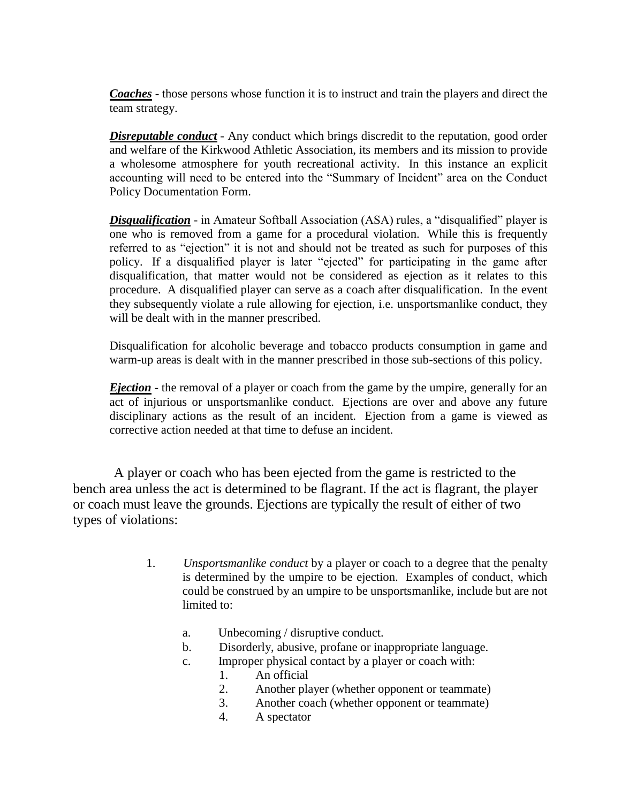*Coaches* - those persons whose function it is to instruct and train the players and direct the team strategy.

*Disreputable conduct* - Any conduct which brings discredit to the reputation, good order and welfare of the Kirkwood Athletic Association, its members and its mission to provide a wholesome atmosphere for youth recreational activity. In this instance an explicit accounting will need to be entered into the "Summary of Incident" area on the Conduct Policy Documentation Form.

 *Disqualification* - in Amateur Softball Association (ASA) rules, a "disqualified" player is one who is removed from a game for a procedural violation. While this is frequently referred to as "ejection" it is not and should not be treated as such for purposes of this policy. If a disqualified player is later "ejected" for participating in the game after disqualification, that matter would not be considered as ejection as it relates to this procedure. A disqualified player can serve as a coach after disqualification. In the event they subsequently violate a rule allowing for ejection, i.e. unsportsmanlike conduct, they will be dealt with in the manner prescribed.

Disqualification for alcoholic beverage and tobacco products consumption in game and warm-up areas is dealt with in the manner prescribed in those sub-sections of this policy.

*Ejection* - the removal of a player or coach from the game by the umpire, generally for an act of injurious or unsportsmanlike conduct. Ejections are over and above any future disciplinary actions as the result of an incident. Ejection from a game is viewed as corrective action needed at that time to defuse an incident.

 A player or coach who has been ejected from the game is restricted to the bench area unless the act is determined to be flagrant. If the act is flagrant, the player or coach must leave the grounds. Ejections are typically the result of either of two types of violations:

- 1. *Unsportsmanlike conduct* by a player or coach to a degree that the penalty is determined by the umpire to be ejection. Examples of conduct, which could be construed by an umpire to be unsportsmanlike, include but are not limited to:
	- a. Unbecoming / disruptive conduct.
	- b. Disorderly, abusive, profane or inappropriate language.
	- c. Improper physical contact by a player or coach with:
		- 1. An official
		- 2. Another player (whether opponent or teammate)
		- 3. Another coach (whether opponent or teammate)
		- 4. A spectator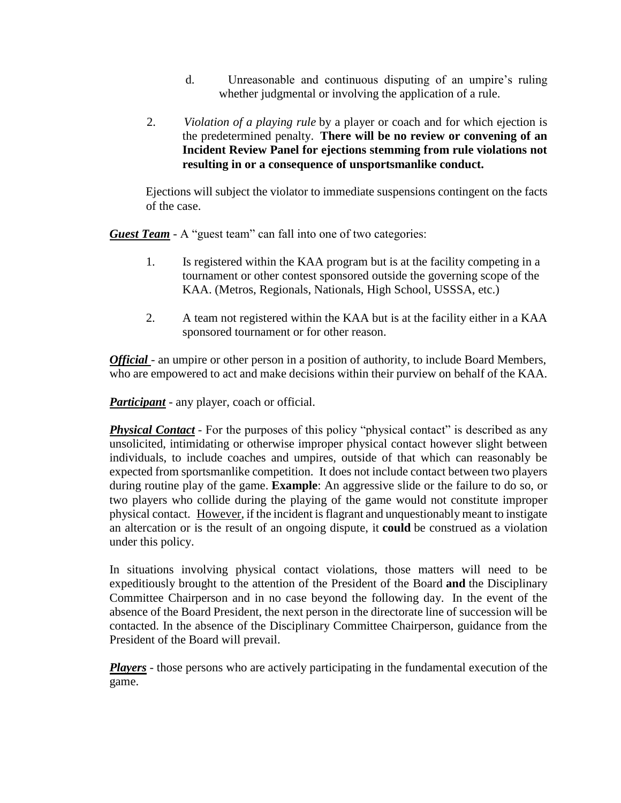- d. Unreasonable and continuous disputing of an umpire's ruling whether judgmental or involving the application of a rule.
- 2. *Violation of a playing rule* by a player or coach and for which ejection is the predetermined penalty. **There will be no review or convening of an Incident Review Panel for ejections stemming from rule violations not resulting in or a consequence of unsportsmanlike conduct.**

 Ejections will subject the violator to immediate suspensions contingent on the facts of the case.

*Guest Team* - A "guest team" can fall into one of two categories:

- 1. Is registered within the KAA program but is at the facility competing in a tournament or other contest sponsored outside the governing scope of the KAA. (Metros, Regionals, Nationals, High School, USSSA, etc.)
- 2. A team not registered within the KAA but is at the facility either in a KAA sponsored tournament or for other reason.

*Official* - an umpire or other person in a position of authority, to include Board Members, who are empowered to act and make decisions within their purview on behalf of the KAA.

*Participant* - any player, coach or official.

**Physical Contact** - For the purposes of this policy "physical contact" is described as any unsolicited, intimidating or otherwise improper physical contact however slight between individuals, to include coaches and umpires, outside of that which can reasonably be expected from sportsmanlike competition. It does not include contact between two players during routine play of the game. **Example**: An aggressive slide or the failure to do so, or two players who collide during the playing of the game would not constitute improper physical contact. However, if the incident is flagrant and unquestionably meant to instigate an altercation or is the result of an ongoing dispute, it **could** be construed as a violation under this policy.

In situations involving physical contact violations, those matters will need to be expeditiously brought to the attention of the President of the Board **and** the Disciplinary Committee Chairperson and in no case beyond the following day. In the event of the absence of the Board President, the next person in the directorate line of succession will be contacted. In the absence of the Disciplinary Committee Chairperson, guidance from the President of the Board will prevail.

*Players* - those persons who are actively participating in the fundamental execution of the game.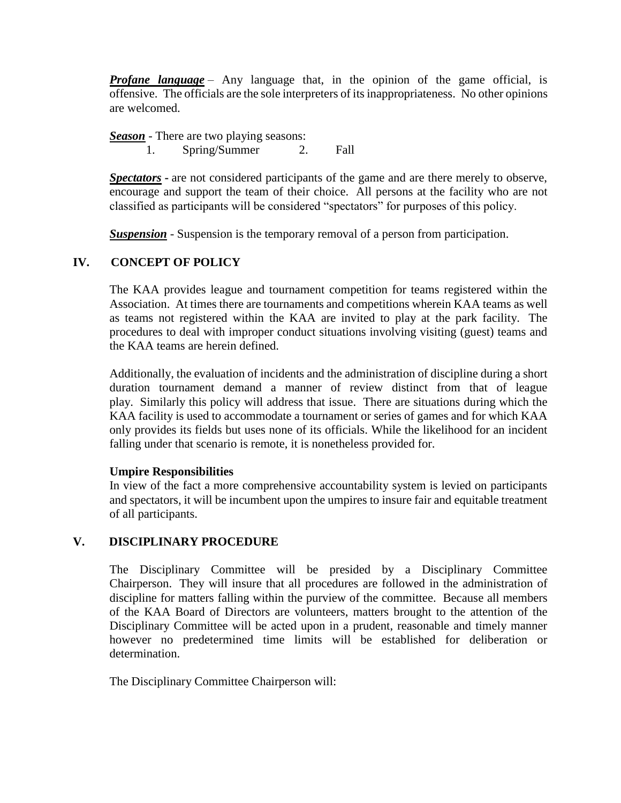*Profane language* – Any language that, in the opinion of the game official, is offensive. The officials are the sole interpreters of its inappropriateness. No other opinions are welcomed.

 *Season* - There are two playing seasons:

1. Spring/Summer 2. Fall

*Spectators* **-** are not considered participants of the game and are there merely to observe, encourage and support the team of their choice. All persons at the facility who are not classified as participants will be considered "spectators" for purposes of this policy.

**Suspension** - Suspension is the temporary removal of a person from participation.

## **IV. CONCEPT OF POLICY**

The KAA provides league and tournament competition for teams registered within the Association. At times there are tournaments and competitions wherein KAA teams as well as teams not registered within the KAA are invited to play at the park facility. The procedures to deal with improper conduct situations involving visiting (guest) teams and the KAA teams are herein defined.

Additionally, the evaluation of incidents and the administration of discipline during a short duration tournament demand a manner of review distinct from that of league play. Similarly this policy will address that issue. There are situations during which the KAA facility is used to accommodate a tournament or series of games and for which KAA only provides its fields but uses none of its officials. While the likelihood for an incident falling under that scenario is remote, it is nonetheless provided for.

## **Umpire Responsibilities**

In view of the fact a more comprehensive accountability system is levied on participants and spectators, it will be incumbent upon the umpires to insure fair and equitable treatment of all participants.

## **V. DISCIPLINARY PROCEDURE**

The Disciplinary Committee will be presided by a Disciplinary Committee Chairperson. They will insure that all procedures are followed in the administration of discipline for matters falling within the purview of the committee. Because all members of the KAA Board of Directors are volunteers, matters brought to the attention of the Disciplinary Committee will be acted upon in a prudent, reasonable and timely manner however no predetermined time limits will be established for deliberation or determination.

The Disciplinary Committee Chairperson will: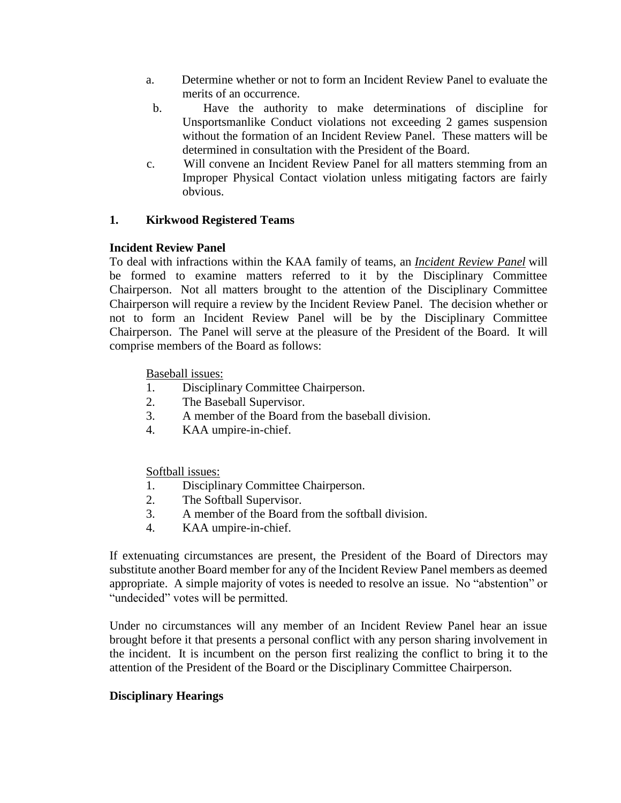- a. Determine whether or not to form an Incident Review Panel to evaluate the merits of an occurrence.
- b. Have the authority to make determinations of discipline for Unsportsmanlike Conduct violations not exceeding 2 games suspension without the formation of an Incident Review Panel. These matters will be determined in consultation with the President of the Board.
- c. Will convene an Incident Review Panel for all matters stemming from an Improper Physical Contact violation unless mitigating factors are fairly obvious.

## **1. Kirkwood Registered Teams**

#### **Incident Review Panel**

To deal with infractions within the KAA family of teams, an *Incident Review Panel* will be formed to examine matters referred to it by the Disciplinary Committee Chairperson. Not all matters brought to the attention of the Disciplinary Committee Chairperson will require a review by the Incident Review Panel. The decision whether or not to form an Incident Review Panel will be by the Disciplinary Committee Chairperson. The Panel will serve at the pleasure of the President of the Board. It will comprise members of the Board as follows:

Baseball issues:

- 1. Disciplinary Committee Chairperson.
- 2. The Baseball Supervisor.
- 3. A member of the Board from the baseball division.
- 4. KAA umpire-in-chief.

Softball issues:

- 1. Disciplinary Committee Chairperson.
- 2. The Softball Supervisor.
- 3. A member of the Board from the softball division.
- 4. KAA umpire-in-chief.

If extenuating circumstances are present, the President of the Board of Directors may substitute another Board member for any of the Incident Review Panel members as deemed appropriate. A simple majority of votes is needed to resolve an issue. No "abstention" or "undecided" votes will be permitted.

Under no circumstances will any member of an Incident Review Panel hear an issue brought before it that presents a personal conflict with any person sharing involvement in the incident. It is incumbent on the person first realizing the conflict to bring it to the attention of the President of the Board or the Disciplinary Committee Chairperson.

#### **Disciplinary Hearings**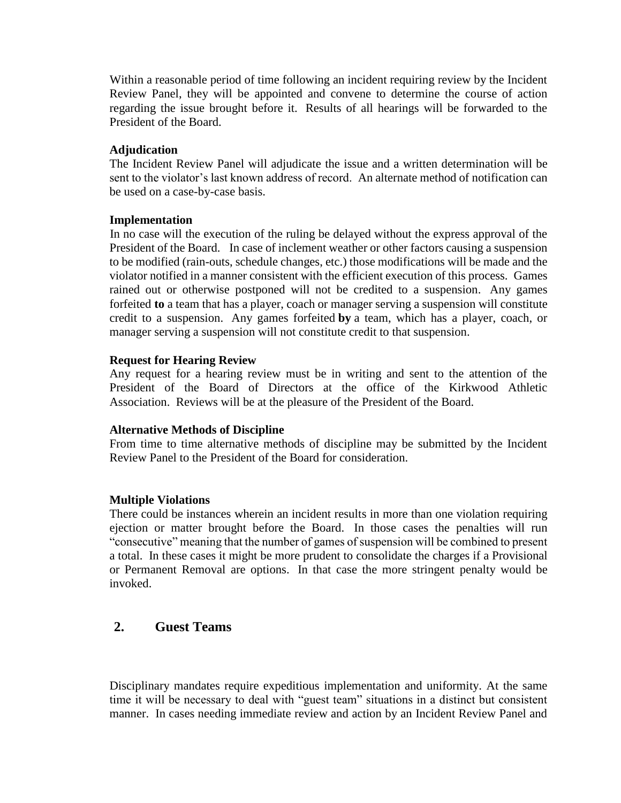Within a reasonable period of time following an incident requiring review by the Incident Review Panel, they will be appointed and convene to determine the course of action regarding the issue brought before it. Results of all hearings will be forwarded to the President of the Board.

#### **Adjudication**

The Incident Review Panel will adjudicate the issue and a written determination will be sent to the violator's last known address of record. An alternate method of notification can be used on a case-by-case basis.

#### **Implementation**

 In no case will the execution of the ruling be delayed without the express approval of the President of the Board. In case of inclement weather or other factors causing a suspension to be modified (rain-outs, schedule changes, etc.) those modifications will be made and the violator notified in a manner consistent with the efficient execution of this process. Games rained out or otherwise postponed will not be credited to a suspension. Any games forfeited **to** a team that has a player, coach or manager serving a suspension will constitute credit to a suspension. Any games forfeited **by** a team, which has a player, coach, or manager serving a suspension will not constitute credit to that suspension.

#### **Request for Hearing Review**

Any request for a hearing review must be in writing and sent to the attention of the President of the Board of Directors at the office of the Kirkwood Athletic Association. Reviews will be at the pleasure of the President of the Board.

#### **Alternative Methods of Discipline**

From time to time alternative methods of discipline may be submitted by the Incident Review Panel to the President of the Board for consideration.

#### **Multiple Violations**

There could be instances wherein an incident results in more than one violation requiring ejection or matter brought before the Board. In those cases the penalties will run "consecutive" meaning that the number of games of suspension will be combined to present a total. In these cases it might be more prudent to consolidate the charges if a Provisional or Permanent Removal are options. In that case the more stringent penalty would be invoked.

## **2. Guest Teams**

Disciplinary mandates require expeditious implementation and uniformity. At the same time it will be necessary to deal with "guest team" situations in a distinct but consistent manner. In cases needing immediate review and action by an Incident Review Panel and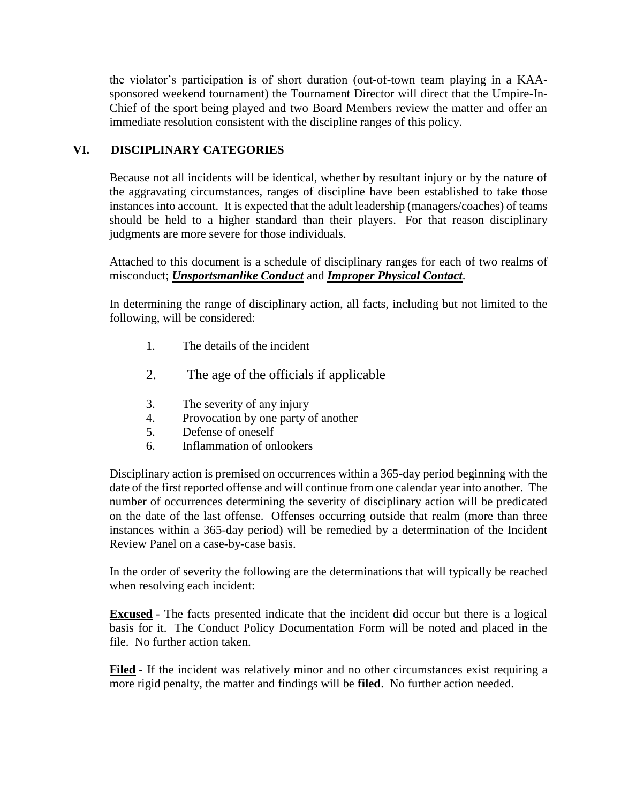the violator's participation is of short duration (out-of-town team playing in a KAAsponsored weekend tournament) the Tournament Director will direct that the Umpire-In-Chief of the sport being played and two Board Members review the matter and offer an immediate resolution consistent with the discipline ranges of this policy.

## **VI. DISCIPLINARY CATEGORIES**

Because not all incidents will be identical, whether by resultant injury or by the nature of the aggravating circumstances, ranges of discipline have been established to take those instances into account. It is expected that the adult leadership (managers/coaches) of teams should be held to a higher standard than their players. For that reason disciplinary judgments are more severe for those individuals.

Attached to this document is a schedule of disciplinary ranges for each of two realms of misconduct; *Unsportsmanlike Conduct* and *Improper Physical Contact*.

In determining the range of disciplinary action, all facts, including but not limited to the following, will be considered:

- 1. The details of the incident
- 2. The age of the officials if applicable
- 3. The severity of any injury
- 4. Provocation by one party of another
- 5. Defense of oneself
- 6. Inflammation of onlookers

Disciplinary action is premised on occurrences within a 365-day period beginning with the date of the first reported offense and will continue from one calendar year into another. The number of occurrences determining the severity of disciplinary action will be predicated on the date of the last offense. Offenses occurring outside that realm (more than three instances within a 365-day period) will be remedied by a determination of the Incident Review Panel on a case-by-case basis.

In the order of severity the following are the determinations that will typically be reached when resolving each incident:

**Excused** - The facts presented indicate that the incident did occur but there is a logical basis for it. The Conduct Policy Documentation Form will be noted and placed in the file. No further action taken.

 **Filed** - If the incident was relatively minor and no other circumstances exist requiring a more rigid penalty, the matter and findings will be **filed**. No further action needed.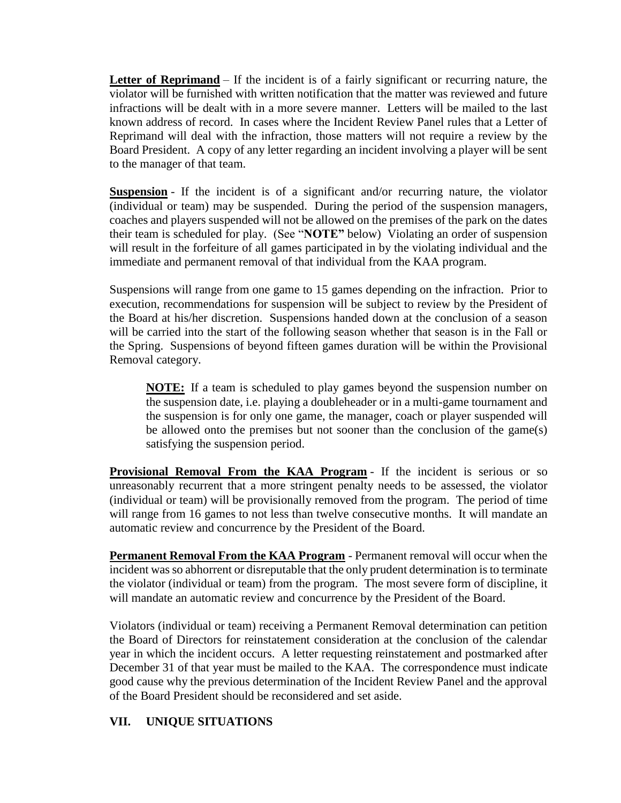**Letter of Reprimand** – If the incident is of a fairly significant or recurring nature, the violator will be furnished with written notification that the matter was reviewed and future infractions will be dealt with in a more severe manner. Letters will be mailed to the last known address of record. In cases where the Incident Review Panel rules that a Letter of Reprimand will deal with the infraction, those matters will not require a review by the Board President. A copy of any letter regarding an incident involving a player will be sent to the manager of that team.

 **Suspension** - If the incident is of a significant and/or recurring nature, the violator (individual or team) may be suspended. During the period of the suspension managers, coaches and players suspended will not be allowed on the premises of the park on the dates their team is scheduled for play. (See "**NOTE"** below) Violating an order of suspension will result in the forfeiture of all games participated in by the violating individual and the immediate and permanent removal of that individual from the KAA program.

Suspensions will range from one game to 15 games depending on the infraction. Prior to execution, recommendations for suspension will be subject to review by the President of the Board at his/her discretion. Suspensions handed down at the conclusion of a season will be carried into the start of the following season whether that season is in the Fall or the Spring. Suspensions of beyond fifteen games duration will be within the Provisional Removal category.

**NOTE:** If a team is scheduled to play games beyond the suspension number on the suspension date, i.e. playing a doubleheader or in a multi-game tournament and the suspension is for only one game, the manager, coach or player suspended will be allowed onto the premises but not sooner than the conclusion of the game(s) satisfying the suspension period.

**Provisional Removal From the KAA Program** - If the incident is serious or so unreasonably recurrent that a more stringent penalty needs to be assessed, the violator (individual or team) will be provisionally removed from the program. The period of time will range from 16 games to not less than twelve consecutive months. It will mandate an automatic review and concurrence by the President of the Board.

**Permanent Removal From the KAA Program** - Permanent removal will occur when the incident was so abhorrent or disreputable that the only prudent determination is to terminate the violator (individual or team) from the program. The most severe form of discipline, it will mandate an automatic review and concurrence by the President of the Board.

Violators (individual or team) receiving a Permanent Removal determination can petition the Board of Directors for reinstatement consideration at the conclusion of the calendar year in which the incident occurs. A letter requesting reinstatement and postmarked after December 31 of that year must be mailed to the KAA. The correspondence must indicate good cause why the previous determination of the Incident Review Panel and the approval of the Board President should be reconsidered and set aside.

## **VII. UNIQUE SITUATIONS**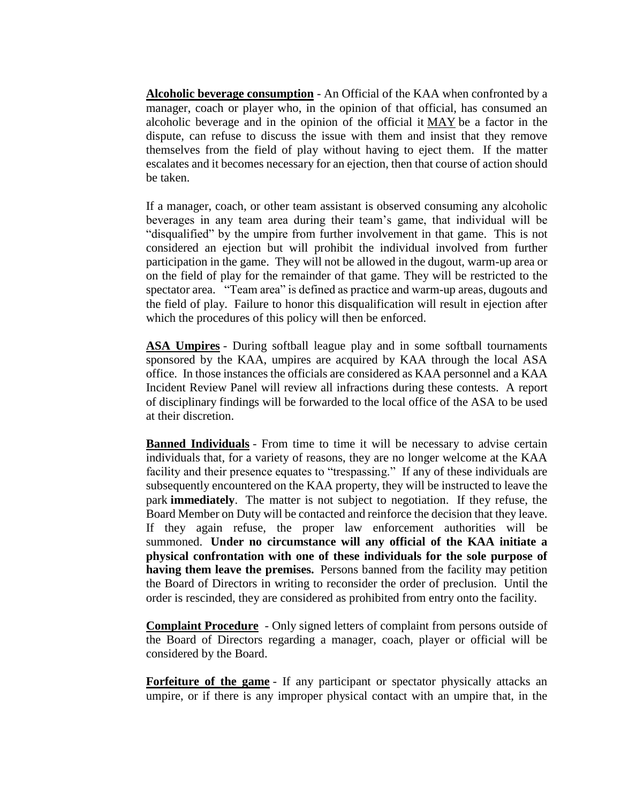**Alcoholic beverage consumption** - An Official of the KAA when confronted by a manager, coach or player who, in the opinion of that official, has consumed an alcoholic beverage and in the opinion of the official it MAY be a factor in the dispute, can refuse to discuss the issue with them and insist that they remove themselves from the field of play without having to eject them. If the matter escalates and it becomes necessary for an ejection, then that course of action should be taken.

If a manager, coach, or other team assistant is observed consuming any alcoholic beverages in any team area during their team's game, that individual will be "disqualified" by the umpire from further involvement in that game. This is not considered an ejection but will prohibit the individual involved from further participation in the game. They will not be allowed in the dugout, warm-up area or on the field of play for the remainder of that game. They will be restricted to the spectator area. "Team area" is defined as practice and warm-up areas, dugouts and the field of play. Failure to honor this disqualification will result in ejection after which the procedures of this policy will then be enforced.

 **ASA Umpires** - During softball league play and in some softball tournaments sponsored by the KAA, umpires are acquired by KAA through the local ASA office. In those instances the officials are considered as KAA personnel and a KAA Incident Review Panel will review all infractions during these contests. A report of disciplinary findings will be forwarded to the local office of the ASA to be used at their discretion.

**Banned Individuals** - From time to time it will be necessary to advise certain individuals that, for a variety of reasons, they are no longer welcome at the KAA facility and their presence equates to "trespassing." If any of these individuals are subsequently encountered on the KAA property, they will be instructed to leave the park **immediately**. The matter is not subject to negotiation. If they refuse, the Board Member on Duty will be contacted and reinforce the decision that they leave. If they again refuse, the proper law enforcement authorities will be summoned. **Under no circumstance will any official of the KAA initiate a physical confrontation with one of these individuals for the sole purpose of having them leave the premises.** Persons banned from the facility may petition the Board of Directors in writing to reconsider the order of preclusion. Until the order is rescinded, they are considered as prohibited from entry onto the facility.

 **Complaint Procedure** - Only signed letters of complaint from persons outside of the Board of Directors regarding a manager, coach, player or official will be considered by the Board.

**Forfeiture of the game** - If any participant or spectator physically attacks an umpire, or if there is any improper physical contact with an umpire that, in the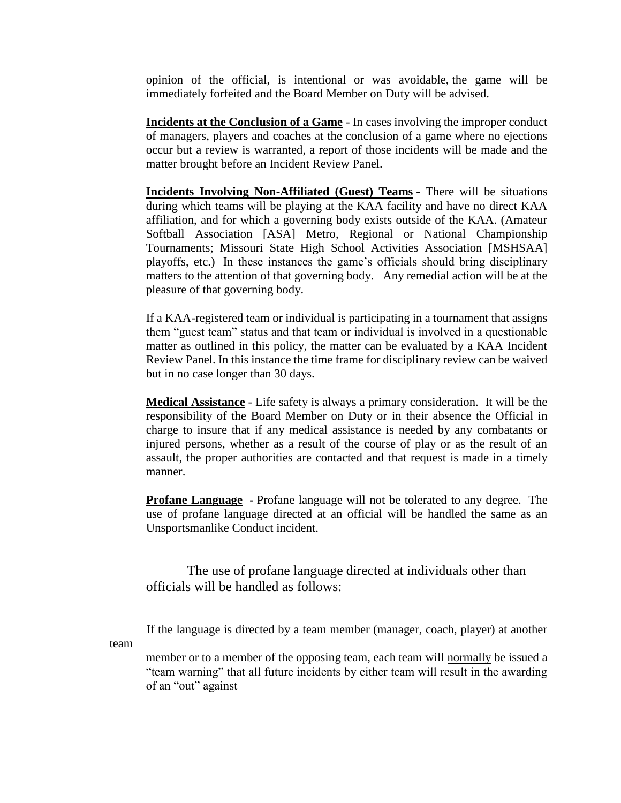opinion of the official, is intentional or was avoidable, the game will be immediately forfeited and the Board Member on Duty will be advised.

 **Incidents at the Conclusion of a Game** - In cases involving the improper conduct of managers, players and coaches at the conclusion of a game where no ejections occur but a review is warranted, a report of those incidents will be made and the matter brought before an Incident Review Panel.

 **Incidents Involving Non-Affiliated (Guest) Teams** - There will be situations during which teams will be playing at the KAA facility and have no direct KAA affiliation, and for which a governing body exists outside of the KAA. (Amateur Softball Association [ASA] Metro, Regional or National Championship Tournaments; Missouri State High School Activities Association [MSHSAA] playoffs, etc.) In these instances the game's officials should bring disciplinary matters to the attention of that governing body. Any remedial action will be at the pleasure of that governing body.

If a KAA-registered team or individual is participating in a tournament that assigns them "guest team" status and that team or individual is involved in a questionable matter as outlined in this policy, the matter can be evaluated by a KAA Incident Review Panel. In this instance the time frame for disciplinary review can be waived but in no case longer than 30 days.

 **Medical Assistance** - Life safety is always a primary consideration. It will be the responsibility of the Board Member on Duty or in their absence the Official in charge to insure that if any medical assistance is needed by any combatants or injured persons, whether as a result of the course of play or as the result of an assault, the proper authorities are contacted and that request is made in a timely manner.

 **Profane Language -** Profane language will not be tolerated to any degree. The use of profane language directed at an official will be handled the same as an Unsportsmanlike Conduct incident.

 The use of profane language directed at individuals other than officials will be handled as follows:

If the language is directed by a team member (manager, coach, player) at another

team

 member or to a member of the opposing team, each team will normally be issued a "team warning" that all future incidents by either team will result in the awarding of an "out" against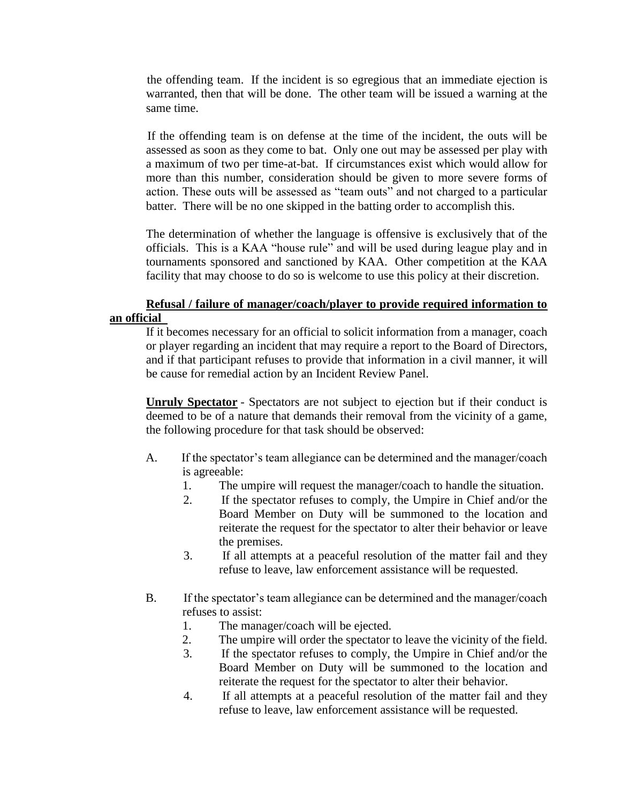the offending team. If the incident is so egregious that an immediate ejection is warranted, then that will be done. The other team will be issued a warning at the same time.

 If the offending team is on defense at the time of the incident, the outs will be assessed as soon as they come to bat. Only one out may be assessed per play with a maximum of two per time-at-bat. If circumstances exist which would allow for more than this number, consideration should be given to more severe forms of action. These outs will be assessed as "team outs" and not charged to a particular batter. There will be no one skipped in the batting order to accomplish this.

The determination of whether the language is offensive is exclusively that of the officials. This is a KAA "house rule" and will be used during league play and in tournaments sponsored and sanctioned by KAA. Other competition at the KAA facility that may choose to do so is welcome to use this policy at their discretion.

#### **Refusal / failure of manager/coach/player to provide required information to an official**

 If it becomes necessary for an official to solicit information from a manager, coach or player regarding an incident that may require a report to the Board of Directors, and if that participant refuses to provide that information in a civil manner, it will be cause for remedial action by an Incident Review Panel.

 **Unruly Spectator** - Spectators are not subject to ejection but if their conduct is deemed to be of a nature that demands their removal from the vicinity of a game, the following procedure for that task should be observed:

- A. If the spectator's team allegiance can be determined and the manager/coach is agreeable:
	- 1. The umpire will request the manager/coach to handle the situation.
	- 2. If the spectator refuses to comply, the Umpire in Chief and/or the Board Member on Duty will be summoned to the location and reiterate the request for the spectator to alter their behavior or leave the premises.
	- 3. If all attempts at a peaceful resolution of the matter fail and they refuse to leave, law enforcement assistance will be requested.
- B. If the spectator's team allegiance can be determined and the manager/coach refuses to assist:
	- 1. The manager/coach will be ejected.
	- 2. The umpire will order the spectator to leave the vicinity of the field.
	- 3. If the spectator refuses to comply, the Umpire in Chief and/or the Board Member on Duty will be summoned to the location and reiterate the request for the spectator to alter their behavior.
	- 4. If all attempts at a peaceful resolution of the matter fail and they refuse to leave, law enforcement assistance will be requested.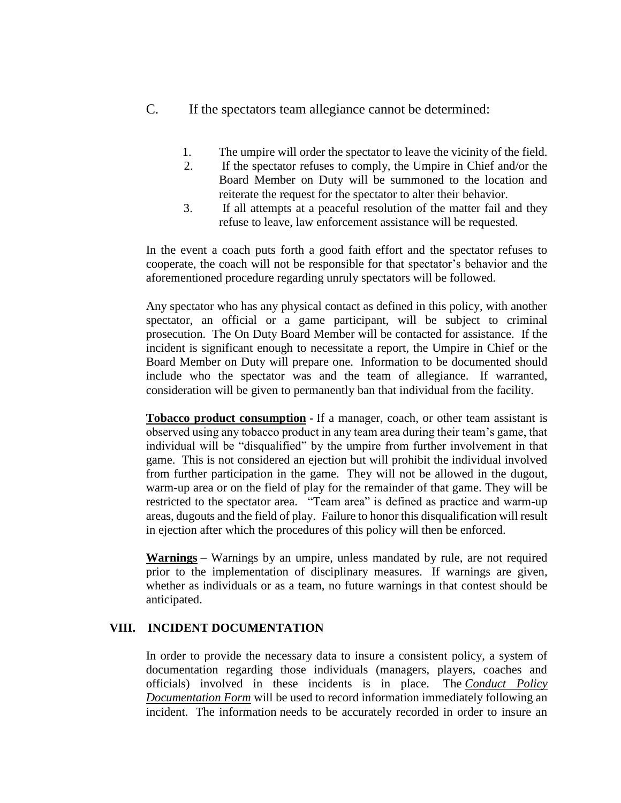- C. If the spectators team allegiance cannot be determined:
	- 1. The umpire will order the spectator to leave the vicinity of the field.
	- 2. If the spectator refuses to comply, the Umpire in Chief and/or the Board Member on Duty will be summoned to the location and reiterate the request for the spectator to alter their behavior.
	- 3. If all attempts at a peaceful resolution of the matter fail and they refuse to leave, law enforcement assistance will be requested.

In the event a coach puts forth a good faith effort and the spectator refuses to cooperate, the coach will not be responsible for that spectator's behavior and the aforementioned procedure regarding unruly spectators will be followed.

Any spectator who has any physical contact as defined in this policy, with another spectator, an official or a game participant, will be subject to criminal prosecution. The On Duty Board Member will be contacted for assistance. If the incident is significant enough to necessitate a report, the Umpire in Chief or the Board Member on Duty will prepare one. Information to be documented should include who the spectator was and the team of allegiance. If warranted, consideration will be given to permanently ban that individual from the facility.

 **Tobacco product consumption -** If a manager, coach, or other team assistant is observed using any tobacco product in any team area during their team's game, that individual will be "disqualified" by the umpire from further involvement in that game. This is not considered an ejection but will prohibit the individual involved from further participation in the game. They will not be allowed in the dugout, warm-up area or on the field of play for the remainder of that game. They will be restricted to the spectator area. "Team area" is defined as practice and warm-up areas, dugouts and the field of play. Failure to honor this disqualification will result in ejection after which the procedures of this policy will then be enforced.

 **Warnings** – Warnings by an umpire, unless mandated by rule, are not required prior to the implementation of disciplinary measures. If warnings are given, whether as individuals or as a team, no future warnings in that contest should be anticipated.

## **VIII. INCIDENT DOCUMENTATION**

In order to provide the necessary data to insure a consistent policy, a system of documentation regarding those individuals (managers, players, coaches and officials) involved in these incidents is in place. The *Conduct Policy Documentation Form* will be used to record information immediately following an incident. The information needs to be accurately recorded in order to insure an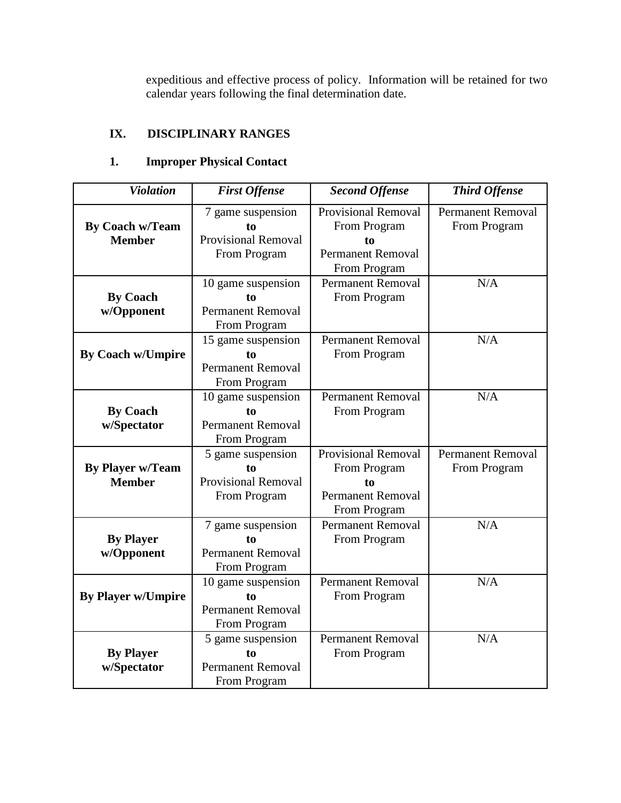expeditious and effective process of policy. Information will be retained for two calendar years following the final determination date.

## **IX. DISCIPLINARY RANGES**

## **1. Improper Physical Contact**

| <b>Violation</b>                         | <b>First Offense</b>                                                  | <b>Second Offense</b>                                                                 | <b>Third Offense</b>                     |
|------------------------------------------|-----------------------------------------------------------------------|---------------------------------------------------------------------------------------|------------------------------------------|
| <b>By Coach w/Team</b><br><b>Member</b>  | 7 game suspension<br>to<br><b>Provisional Removal</b><br>From Program | Provisional Removal<br>From Program<br>tο<br><b>Permanent Removal</b><br>From Program | <b>Permanent Removal</b><br>From Program |
| <b>By Coach</b><br>w/Opponent            | 10 game suspension<br>to<br><b>Permanent Removal</b><br>From Program  | <b>Permanent Removal</b><br>From Program                                              | N/A                                      |
| <b>By Coach w/Umpire</b>                 | 15 game suspension<br>to<br><b>Permanent Removal</b><br>From Program  | <b>Permanent Removal</b><br>From Program                                              | N/A                                      |
| <b>By Coach</b><br>w/Spectator           | 10 game suspension<br>to<br><b>Permanent Removal</b><br>From Program  | <b>Permanent Removal</b><br>From Program                                              | N/A                                      |
| <b>By Player w/Team</b><br><b>Member</b> | 5 game suspension<br>to<br><b>Provisional Removal</b><br>From Program | Provisional Removal<br>From Program<br>to<br><b>Permanent Removal</b><br>From Program | <b>Permanent Removal</b><br>From Program |
| <b>By Player</b><br>w/Opponent           | 7 game suspension<br>to<br><b>Permanent Removal</b><br>From Program   | <b>Permanent Removal</b><br>From Program                                              | N/A                                      |
| <b>By Player w/Umpire</b>                | 10 game suspension<br>to<br><b>Permanent Removal</b><br>From Program  | <b>Permanent Removal</b><br>From Program                                              | N/A                                      |
| <b>By Player</b><br>w/Spectator          | 5 game suspension<br>to<br><b>Permanent Removal</b><br>From Program   | <b>Permanent Removal</b><br>From Program                                              | N/A                                      |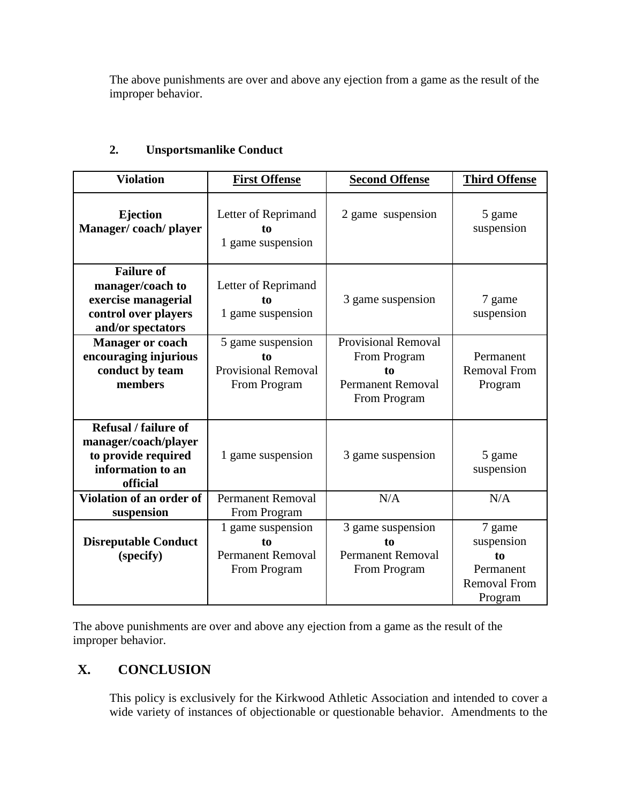The above punishments are over and above any ejection from a game as the result of the improper behavior.

| <b>Violation</b>                                                                                            | <b>First Offense</b>                                                  | <b>Second Offense</b>                                                                        | <b>Third Offense</b>                                                      |
|-------------------------------------------------------------------------------------------------------------|-----------------------------------------------------------------------|----------------------------------------------------------------------------------------------|---------------------------------------------------------------------------|
| <b>Ejection</b><br>Manager/coach/player                                                                     | Letter of Reprimand<br>to<br>1 game suspension                        | 2 game suspension                                                                            | 5 game<br>suspension                                                      |
| <b>Failure of</b><br>manager/coach to<br>exercise managerial<br>control over players<br>and/or spectators   | Letter of Reprimand<br>to<br>1 game suspension                        | 3 game suspension                                                                            | 7 game<br>suspension                                                      |
| <b>Manager or coach</b><br>encouraging injurious<br>conduct by team<br>members                              | 5 game suspension<br>to<br><b>Provisional Removal</b><br>From Program | <b>Provisional Removal</b><br>From Program<br>to<br><b>Permanent Removal</b><br>From Program | Permanent<br><b>Removal From</b><br>Program                               |
| <b>Refusal</b> / failure of<br>manager/coach/player<br>to provide required<br>information to an<br>official | 1 game suspension                                                     | 3 game suspension                                                                            | 5 game<br>suspension                                                      |
| Violation of an order of<br>suspension                                                                      | <b>Permanent Removal</b><br>From Program                              | N/A                                                                                          | N/A                                                                       |
| <b>Disreputable Conduct</b><br>(specify)                                                                    | 1 game suspension<br>to<br><b>Permanent Removal</b><br>From Program   | 3 game suspension<br>to<br><b>Permanent Removal</b><br>From Program                          | 7 game<br>suspension<br>to<br>Permanent<br><b>Removal From</b><br>Program |

## **2. Unsportsmanlike Conduct**

The above punishments are over and above any ejection from a game as the result of the improper behavior.

# **X. CONCLUSION**

This policy is exclusively for the Kirkwood Athletic Association and intended to cover a wide variety of instances of objectionable or questionable behavior. Amendments to the